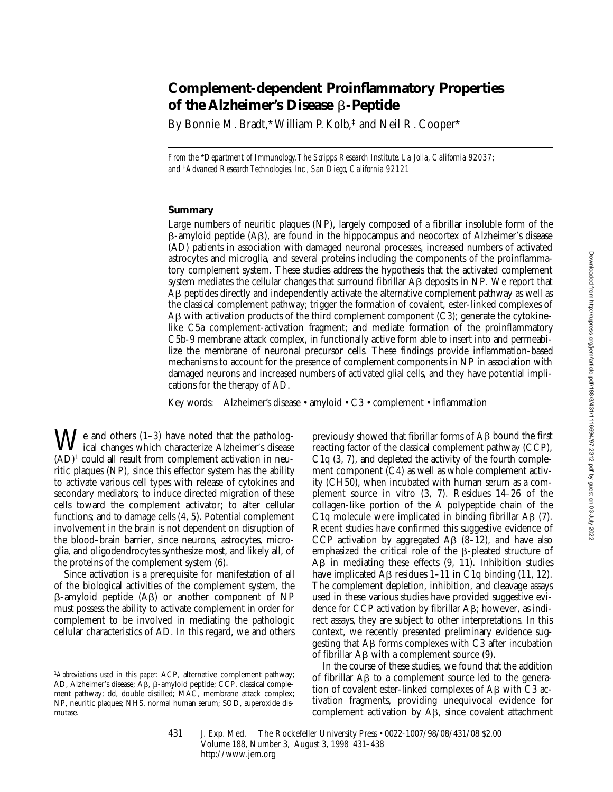# **Complement-dependent Proinflammatory Properties of the Alzheimer's Disease** b**-Peptide**

By Bonnie M. Bradt,\* William P. Kolb,<sup>‡</sup> and Neil R. Cooper\*

*From the* \**Department of Immunology, The Scripps Research Institute, La Jolla, California 92037; and* ‡*Advanced Research Technologies, Inc., San Diego, California 92121*

## **Summary**

Large numbers of neuritic plaques (NP), largely composed of a fibrillar insoluble form of the  $\beta$ -amyloid peptide  $(A\beta)$ , are found in the hippocampus and neocortex of Alzheimer's disease (AD) patients in association with damaged neuronal processes, increased numbers of activated astrocytes and microglia, and several proteins including the components of the proinflammatory complement system. These studies address the hypothesis that the activated complement system mediates the cellular changes that surround fibrillar AB deposits in NP. We report that A<sub>B</sub> peptides directly and independently activate the alternative complement pathway as well as the classical complement pathway; trigger the formation of covalent, ester-linked complexes of AB with activation products of the third complement component  $(C3)$ ; generate the cytokinelike C5a complement-activation fragment; and mediate formation of the proinflammatory C5b-9 membrane attack complex, in functionally active form able to insert into and permeabilize the membrane of neuronal precursor cells. These findings provide inflammation-based mechanisms to account for the presence of complement components in NP in association with damaged neurons and increased numbers of activated glial cells, and they have potential implications for the therapy of AD.

Key words: Alzheimer's disease • amyloid • C3 • complement • inflammation

 $\bigvee$ e and others (1–3) have noted that the pathological changes which characterize Alzheimer's disease (AD)1 could all result from complement activation in neuritic plaques (NP), since this effector system has the ability to activate various cell types with release of cytokines and secondary mediators; to induce directed migration of these cells toward the complement activator; to alter cellular functions; and to damage cells (4, 5). Potential complement involvement in the brain is not dependent on disruption of the blood–brain barrier, since neurons, astrocytes, microglia, and oligodendrocytes synthesize most, and likely all, of the proteins of the complement system (6).

Since activation is a prerequisite for manifestation of all of the biological activities of the complement system, the  $\beta$ -amyloid peptide (A $\beta$ ) or another component of NP must possess the ability to activate complement in order for complement to be involved in mediating the pathologic cellular characteristics of AD. In this regard, we and others previously showed that fibrillar forms of AB bound the first reacting factor of the classical complement pathway (CCP), C1q (3, 7), and depleted the activity of the fourth complement component (C4) as well as whole complement activity (CH50), when incubated with human serum as a complement source in vitro (3, 7). Residues 14–26 of the collagen-like portion of the A polypeptide chain of the C<sub>1</sub>q molecule were implicated in binding fibrillar  $\mathsf{AB}$  (7). Recent studies have confirmed this suggestive evidence of CCP activation by aggregated A $\beta$  (8–12), and have also emphasized the critical role of the B-pleated structure of  $\overrightarrow{AB}$  in mediating these effects  $(9, 11)$ . Inhibition studies have implicated  $\overline{AB}$  residues 1–11 in C1q binding (11, 12). The complement depletion, inhibition, and cleavage assays used in these various studies have provided suggestive evidence for CCP activation by fibrillar  $\mathbf{A}\mathbf{B}$ ; however, as indirect assays, they are subject to other interpretations. In this context, we recently presented preliminary evidence suggesting that  $\overline{AB}$  forms complexes with C3 after incubation of fibrillar  $\overline{AB}$  with a complement source (9).

In the course of these studies, we found that the addition of fibrillar AB to a complement source led to the generation of covalent ester-linked complexes of AB with C3 activation fragments, providing unequivocal evidence for complement activation by AB, since covalent attachment

<sup>1</sup>*Abbreviations used in this paper:* ACP, alternative complement pathway; AD, Alzheimer's disease; AB, B-amyloid peptide; CCP, classical complement pathway; dd, double distilled; MAC, membrane attack complex; NP, neuritic plaques; NHS, normal human serum; SOD, superoxide dismutase.

<sup>431</sup> J. Exp. Med. © The Rockefeller University Press • 0022-1007/98/08/431/08 \$2.00 Volume 188, Number 3, August 3, 1998 431–438 http://www.jem.org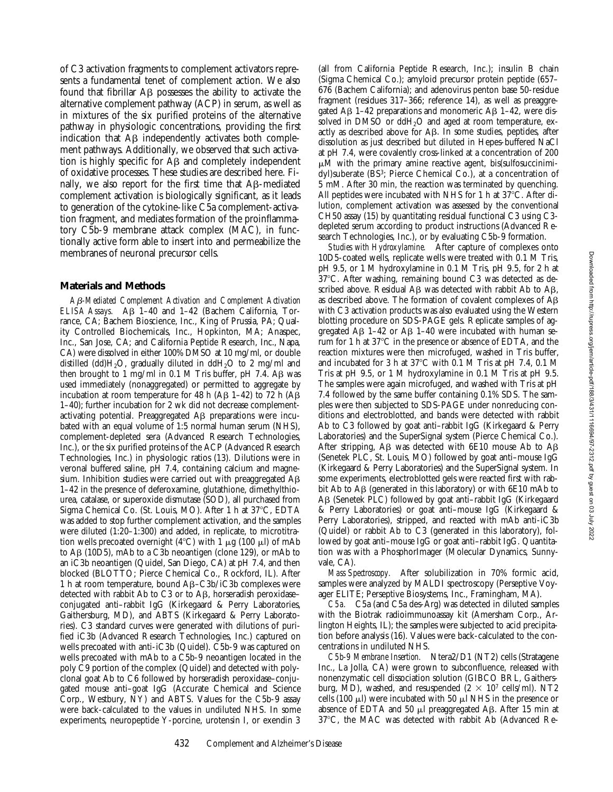of C3 activation fragments to complement activators represents a fundamental tenet of complement action. We also found that fibrillar A<sub>B</sub> possesses the ability to activate the alternative complement pathway (ACP) in serum, as well as in mixtures of the six purified proteins of the alternative pathway in physiologic concentrations, providing the first indication that  $\overrightarrow{AB}$  independently activates both complement pathways. Additionally, we observed that such activation is highly specific for  $\overline{AB}$  and completely independent of oxidative processes. These studies are described here. Finally, we also report for the first time that AB-mediated complement activation is biologically significant, as it leads to generation of the cytokine-like C5a complement-activation fragment, and mediates formation of the proinflammatory C5b-9 membrane attack complex (MAC), in functionally active form able to insert into and permeabilize the membranes of neuronal precursor cells.

## **Materials and Methods**

*A*b*-Mediated Complement Activation and Complement Activation ELISA Assays.* Aβ 1–40 and 1–42 (Bachem California, Torrance, CA; Bachem Bioscience, Inc., King of Prussia, PA; Quality Controlled Biochemicals, Inc., Hopkinton, MA; Anaspec, Inc., San Jose, CA; and California Peptide Research, Inc., Napa, CA) were dissolved in either 100% DMSO at 10 mg/ml, or double distilled (dd) $H_2O$ , gradually diluted in dd $H_2O$  to 2 mg/ml and then brought to 1 mg/ml in 0.1 M Tris buffer, pH 7.4. A $\beta$  was used immediately (nonaggregated) or permitted to aggregate by incubation at room temperature for 48 h (A $\beta$  1–42) to 72 h (A $\beta$ 1–40); further incubation for 2 wk did not decrease complementactivating potential. Preaggregated  $\text{AB}$  preparations were incubated with an equal volume of 1:5 normal human serum (NHS), complement-depleted sera (Advanced Research Technologies, Inc.), or the six purified proteins of the ACP (Advanced Research Technologies, Inc.) in physiologic ratios (13). Dilutions were in veronal buffered saline, pH 7.4, containing calcium and magnesium. Inhibition studies were carried out with preaggregated  $A\beta$ 1–42 in the presence of deferoxamine, glutathione, dimethylthiourea, catalase, or superoxide dismutase (SOD), all purchased from Sigma Chemical Co. (St. Louis, MO). After 1 h at 37°C, EDTA was added to stop further complement activation, and the samples were diluted (1:20–1:300) and added, in replicate, to microtitration wells precoated overnight (4 $^{\circ}$ C) with 1  $\mu$ g (100  $\mu$ l) of mAb to A $\beta$  (10D5), mAb to a C3b neoantigen (clone 129), or mAb to an iC3b neoantigen (Quidel, San Diego, CA) at pH 7.4, and then blocked (BLOTTO; Pierce Chemical Co., Rockford, IL). After 1 h at room temperature, bound  $\text{A}\beta-\text{C}3\text{b}/\text{iC}3\text{b}$  complexes were detected with rabbit Ab to C3 or to Aß, horseradish peroxidaseconjugated anti–rabbit IgG (Kirkegaard & Perry Laboratories, Gaithersburg, MD), and ABTS (Kirkegaard & Perry Laboratories). C3 standard curves were generated with dilutions of purified iC3b (Advanced Research Technologies, Inc.) captured on wells precoated with anti-iC3b (Quidel). C5b-9 was captured on wells precoated with mAb to a C5b-9 neoantigen located in the poly C9 portion of the complex (Quidel) and detected with polyclonal goat Ab to C6 followed by horseradish peroxidase–conjugated mouse anti–goat IgG (Accurate Chemical and Science Corp., Westbury, NY) and ABTS. Values for the C5b-9 assay were back-calculated to the values in undiluted NHS. In some experiments, neuropeptide Y-porcine, urotensin I, or exendin 3

(all from California Peptide Research, Inc.); insulin B chain (Sigma Chemical Co.); amyloid precursor protein peptide (657– 676 (Bachem California); and adenovirus penton base 50-residue fragment (residues 317–366; reference 14), as well as preaggregated A $\beta$  1–42 preparations and monomeric A $\beta$  1–42, were dissolved in DMSO or ddH<sub>2</sub>O and aged at room temperature, exactly as described above for AB. In some studies, peptides, after dissolution as just described but diluted in Hepes-buffered NaCl at pH 7.4, were covalently cross-linked at a concentration of 200  $\mu$ M with the primary amine reactive agent, bis(sulfosuccinimidyl)suberate (BS3; Pierce Chemical Co.), at a concentration of 5 mM. After 30 min, the reaction was terminated by quenching. All peptides were incubated with NHS for 1 h at  $37^{\circ}$ C. After dilution, complement activation was assessed by the conventional CH50 assay (15) by quantitating residual functional C3 using C3 depleted serum according to product instructions (Advanced Research Technologies, Inc.), or by evaluating C5b-9 formation.

*Studies with Hydroxylamine.* After capture of complexes onto 10D5-coated wells, replicate wells were treated with 0.1 M Tris, pH 9.5, or 1 M hydroxylamine in 0.1 M Tris, pH 9.5, for 2 h at  $37^{\circ}$ C. After washing, remaining bound C3 was detected as described above. Residual  $\overrightarrow{AB}$  was detected with rabbit Ab to  $\overrightarrow{AB}$ , as described above. The formation of covalent complexes of Ab with C3 activation products was also evaluated using the Western blotting procedure on SDS-PAGE gels. Replicate samples of aggregated  $\overline{AB}$  1–42 or  $\overline{AB}$  1–40 were incubated with human serum for 1 h at 37°C in the presence or absence of EDTA, and the reaction mixtures were then microfuged, washed in Tris buffer, and incubated for 3 h at  $37^{\circ}$ C with 0.1 M Tris at pH 7.4, 0.1 M Tris at pH 9.5, or 1 M hydroxylamine in 0.1 M Tris at pH 9.5. The samples were again microfuged, and washed with Tris at pH 7.4 followed by the same buffer containing 0.1% SDS. The samples were then subjected to SDS-PAGE under nonreducing conditions and electroblotted, and bands were detected with rabbit Ab to C3 followed by goat anti–rabbit IgG (Kirkegaard & Perry Laboratories) and the SuperSignal system (Pierce Chemical Co.). After stripping,  $\overline{AB}$  was detected with 6E10 mouse Ab to  $\overline{AB}$ (Senetek PLC, St. Louis, MO) followed by goat anti–mouse IgG (Kirkegaard & Perry Laboratories) and the SuperSignal system. In some experiments, electroblotted gels were reacted first with rabbit Ab to Aβ (generated in this laboratory) or with 6E10 mAb to Aβ (Senetek PLC) followed by goat anti-rabbit IgG (Kirkegaard & Perry Laboratories) or goat anti–mouse IgG (Kirkegaard & Perry Laboratories), stripped, and reacted with mAb anti-iC3b (Quidel) or rabbit Ab to C3 (generated in this laboratory), followed by goat anti–mouse IgG or goat anti–rabbit IgG. Quantitation was with a PhosphorImager (Molecular Dynamics, Sunnyvale, CA).

*Mass Spectroscopy.* After solubilization in 70% formic acid, samples were analyzed by MALDI spectroscopy (Perseptive Voyager ELITE; Perseptive Biosystems, Inc., Framingham, MA).

*C5a.* C5a (and C5a des-Arg) was detected in diluted samples with the Biotrak radioimmunoassay kit (Amersham Corp., Arlington Heights, IL); the samples were subjected to acid precipitation before analysis (16). Values were back-calculated to the concentrations in undiluted NHS.

*C5b-9 Membrane Insertion.* Ntera2/D1 (NT2) cells (Stratagene Inc., La Jolla, CA) were grown to subconfluence, released with nonenzymatic cell dissociation solution (GIBCO BRL, Gaithersburg, MD), washed, and resuspended  $(2 \times 10^7 \text{ cells/ml})$ . NT2 cells (100  $\mu$ l) were incubated with 50  $\mu$ l NHS in the presence or absence of EDTA and 50  $\mu$ l preaggregated A $\beta$ . After 15 min at  $37^{\circ}$ C, the MAC was detected with rabbit Ab (Advanced Re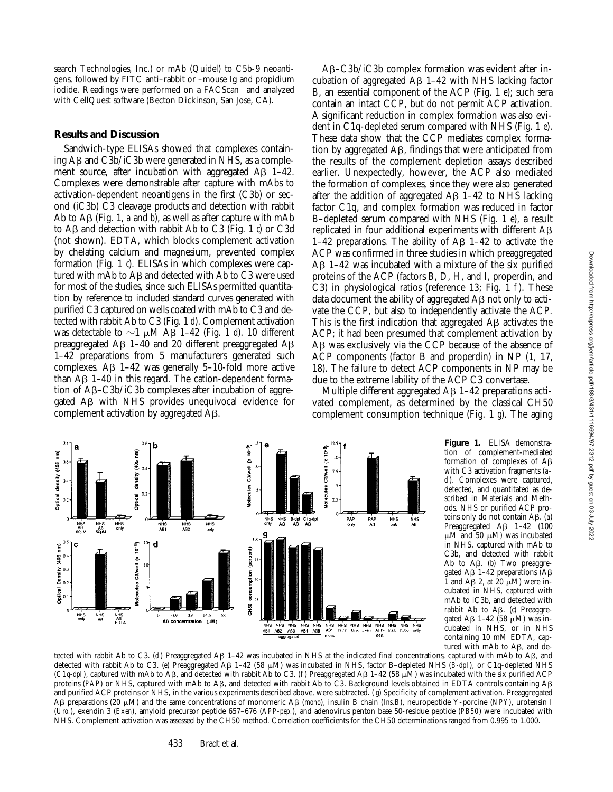search Technologies, Inc.) or mAb (Quidel) to C5b-9 neoantigens, followed by FITC anti–rabbit or –mouse Ig and propidium iodide. Readings were performed on a FACScan<sup>®</sup> and analyzed with CellQuest software (Becton Dickinson, San Jose, CA).

#### **Results and Discussion**

Sandwich-type ELISAs showed that complexes containing  $\overline{AB}$  and  $\overline{C3b}/i\overline{C3b}$  were generated in NHS, as a complement source, after incubation with aggregated  $\text{A}\beta$  1–42. Complexes were demonstrable after capture with mAbs to activation-dependent neoantigens in the first (C3b) or second (iC3b) C3 cleavage products and detection with rabbit Ab to  $\overrightarrow{AB}$  (Fig. 1, *a* and *b*), as well as after capture with mAb to A $\beta$  and detection with rabbit Ab to C3 (Fig. 1  $\dot{\theta}$ ) or C3d (not shown). EDTA, which blocks complement activation by chelating calcium and magnesium, prevented complex formation (Fig. 1 *c*). ELISAs in which complexes were captured with mAb to  $\text{A}\beta$  and detected with Ab to C3 were used for most of the studies, since such ELISAs permitted quantitation by reference to included standard curves generated with purified C3 captured on wells coated with mAb to C3 and detected with rabbit Ab to C3 (Fig. 1 *d*). Complement activation was detectable to  $\sim$ 1  $\mu$ M AB 1–42 (Fig. 1 *d*). 10 different preaggregated  $\overline{AB}$  1–40 and 20 different preaggregated  $\overline{AB}$ 1–42 preparations from 5 manufacturers generated such complexes. A $\beta$  1–42 was generally 5–10-fold more active than  $\text{A}\beta$  1–40 in this regard. The cation-dependent formation of  $\mathsf{A}\mathsf{B}\text{-}\mathsf{C}3\mathsf{b}/\mathsf{i}\mathsf{C}3\mathsf{b}$  complexes after incubation of aggregated Ab with NHS provides unequivocal evidence for complement activation by aggregated Ab.

Ê

(405

density

Optical

 $\frac{1}{N+S}$ 

NHS<br>A<sub>B</sub><br>50<sub>U</sub>M

Ē

1405

density

02

 $0.5$ c

 $0.4$  $405$ 

 $\widehat{\mathsf{E}}$ 

**Cotica** 

NHS<br>AR<br>100uM

Ab–C3b/iC3b complex formation was evident after incubation of aggregated  $\overline{AB}$  1–42 with NHS lacking factor B, an essential component of the ACP (Fig. 1 *e*); such sera contain an intact CCP, but do not permit ACP activation. A significant reduction in complex formation was also evident in C1q-depleted serum compared with NHS (Fig. 1 *e*). These data show that the CCP mediates complex formation by aggregated Ab, findings that were anticipated from the results of the complement depletion assays described earlier. Unexpectedly, however, the ACP also mediated the formation of complexes, since they were also generated after the addition of aggregated A $\beta$  1–42 to NHS lacking factor C1q, and complex formation was reduced in factor B–depleted serum compared with NHS (Fig. 1 *e*), a result replicated in four additional experiments with different  $A\beta$ 1–42 preparations. The ability of  $\mathsf{AB}$  1–42 to activate the ACP was confirmed in three studies in which preaggregated  $\overrightarrow{AB}$  1–42 was incubated with a mixture of the six purified proteins of the ACP (factors B, D, H, and I, properdin, and C3) in physiological ratios (reference 13; Fig. 1 *f* ). These data document the ability of aggregated  $\overrightarrow{AB}$  not only to activate the CCP, but also to independently activate the ACP. This is the first indication that aggregated  $\overrightarrow{AB}$  activates the ACP; it had been presumed that complement activation by A<sub>B</sub> was exclusively via the CCP because of the absence of ACP components (factor B and properdin) in NP (1, 17, 18). The failure to detect ACP components in NP may be due to the extreme lability of the ACP C3 convertase.

Multiple different aggregated  $AB$  1–42 preparations activated complement, as determined by the classical CH50 complement consumption technique (Fig. 1 *g*). The aging

> **Figure 1.** ELISA demonstration of complement-mediated formation of complexes of  $A\beta$ with C3 activation fragments (*a– d*). Complexes were captured, detected, and quantitated as described in Materials and Methods. NHS or purified ACP proteins only do not contain A $\beta$ . (a) Preaggregated  $\overrightarrow{AB}$  1-42 (100  $\mu$ M and 50  $\mu$ M) was incubated in NHS, captured with mAb to C3b, and detected with rabbit Ab to  $\mathbf{A}\mathbf{\beta}$ . (b) Two preaggregated A $\beta$  1–42 preparations (A $\beta$



C3/well (x 10<sup>-9</sup>)

Molecules

(percen

NHS<br>only

NHS<br>Aß2

NHS<br>Aß1

d

NHS<br>only

NHS. Complement activation was assessed by the CH50 method. Correlation coefficients for the CH50 determinations ranged from 0.995 to 1.000.

C3/well (x 10-9)

dolecules

 $\overline{10}$ 

 $7.5$ 

 $2.5$ 

PAP<br>only

PAP<br>Aß

NHS<br>only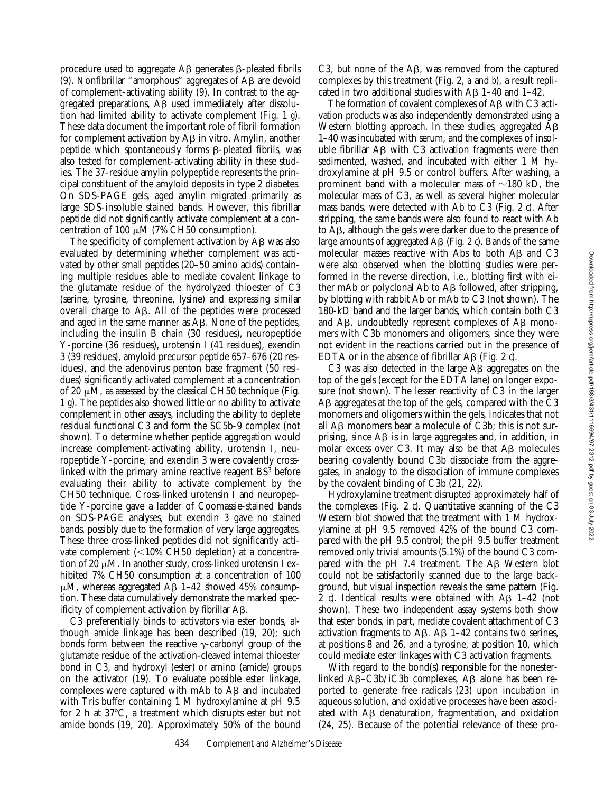procedure used to aggregate  $\mathsf{AB}$  generates  $\mathsf{B}\text{-pleated}$  fibrils (9). Nonfibrillar "amorphous" aggregates of  $\overrightarrow{AB}$  are devoid of complement-activating ability (9). In contrast to the aggregated preparations,  $\overrightarrow{AB}$  used immediately after dissolution had limited ability to activate complement (Fig. 1 *g*). These data document the important role of fibril formation for complement activation by  $\overrightarrow{AB}$  in vitro. Amylin, another peptide which spontaneously forms  $\beta$ -pleated fibrils, was also tested for complement-activating ability in these studies. The 37-residue amylin polypeptide represents the principal constituent of the amyloid deposits in type 2 diabetes. On SDS-PAGE gels, aged amylin migrated primarily as large SDS-insoluble stained bands. However, this fibrillar peptide did not significantly activate complement at a concentration of 100  $\mu$ M (7% CH50 consumption).

The specificity of complement activation by  $\overrightarrow{AB}$  was also evaluated by determining whether complement was activated by other small peptides (20–50 amino acids) containing multiple residues able to mediate covalent linkage to the glutamate residue of the hydrolyzed thioester of C3 (serine, tyrosine, threonine, lysine) and expressing similar overall charge to AB. All of the peptides were processed and aged in the same manner as  $\mathbf{A}\mathbf{B}$ . None of the peptides, including the insulin B chain (30 residues), neuropeptide Y-porcine (36 residues), urotensin I (41 residues), exendin 3 (39 residues), amyloid precursor peptide 657–676 (20 residues), and the adenovirus penton base fragment (50 residues) significantly activated complement at a concentration of 20  $\mu$ M, as assessed by the classical CH50 technique (Fig. 1 *g*). The peptides also showed little or no ability to activate complement in other assays, including the ability to deplete residual functional C3 and form the SC5b-9 complex (not shown). To determine whether peptide aggregation would increase complement-activating ability, urotensin I, neuropeptide Y-porcine, and exendin 3 were covalently crosslinked with the primary amine reactive reagent BS<sup>3</sup> before evaluating their ability to activate complement by the CH50 technique. Cross-linked urotensin I and neuropeptide Y-porcine gave a ladder of Coomassie-stained bands on SDS-PAGE analyses, but exendin 3 gave no stained bands, possibly due to the formation of very large aggregates. These three cross-linked peptides did not significantly activate complement  $(<10\% \text{ CH}50$  depletion) at a concentration of 20  $\mu$ M. In another study, cross-linked urotensin I exhibited 7% CH50 consumption at a concentration of 100  $\mu$ M, whereas aggregated AB 1–42 showed 45% consumption. These data cumulatively demonstrate the marked specificity of complement activation by fibrillar  $\mathbf{A}\mathbf{B}$ .

C3 preferentially binds to activators via ester bonds, although amide linkage has been described (19, 20); such bonds form between the reactive  $\gamma$ -carbonyl group of the glutamate residue of the activation-cleaved internal thioester bond in C3, and hydroxyl (ester) or amino (amide) groups on the activator (19). To evaluate possible ester linkage, complexes were captured with mAb to  $\mathsf{A}\mathsf{B}$  and incubated with Tris buffer containing 1 M hydroxylamine at pH 9.5 for 2 h at  $37^{\circ}$ C, a treatment which disrupts ester but not amide bonds (19, 20). Approximately 50% of the bound

C3, but none of the  $\mathsf{A}\mathsf{B}$ , was removed from the captured complexes by this treatment (Fig. 2, *a* and *b*), a result replicated in two additional studies with A $\beta$  1–40 and 1–42.

The formation of covalent complexes of  $A\beta$  with C3 activation products was also independently demonstrated using a Western blotting approach. In these studies, aggregated Ab 1–40 was incubated with serum, and the complexes of insoluble fibrillar A<sub>B</sub> with C<sub>3</sub> activation fragments were then sedimented, washed, and incubated with either 1 M hydroxylamine at pH 9.5 or control buffers. After washing, a prominent band with a molecular mass of  $\sim$ 180 kD, the molecular mass of C3, as well as several higher molecular mass bands, were detected with Ab to C3 (Fig. 2 *c*). After stripping, the same bands were also found to react with Ab to  $\mathbf{A}\mathbf{\beta}$ , although the gels were darker due to the presence of large amounts of aggregated  $\overrightarrow{AB}$  (Fig. 2  $\dot{\theta}$ ). Bands of the same molecular masses reactive with Abs to both AB and C3 were also observed when the blotting studies were performed in the reverse direction, i.e., blotting first with either mAb or polyclonal Ab to A<sub>B</sub> followed, after stripping, by blotting with rabbit Ab or mAb to C3 (not shown). The 180-kD band and the larger bands, which contain both C3 and  $\overline{AB}$ , undoubtedly represent complexes of  $\overline{AB}$  monomers with C3b monomers and oligomers, since they were not evident in the reactions carried out in the presence of EDTA or in the absence of fibrillar  $\overrightarrow{AB}$  (Fig. 2  $\overrightarrow{q}$ ).

C3 was also detected in the large  $\overline{AB}$  aggregates on the top of the gels (except for the EDTA lane) on longer exposure (not shown). The lesser reactivity of C3 in the larger Ab aggregates at the top of the gels, compared with the C3 monomers and oligomers within the gels, indicates that not all  $\overrightarrow{AB}$  monomers bear a molecule of C3b; this is not surprising, since  $\overline{AB}$  is in large aggregates and, in addition, in molar excess over C3. It may also be that  $\mathsf{A}\beta$  molecules bearing covalently bound C3b dissociate from the aggregates, in analogy to the dissociation of immune complexes by the covalent binding of C3b (21, 22).

Hydroxylamine treatment disrupted approximately half of the complexes (Fig. 2 *c*). Quantitative scanning of the C3 Western blot showed that the treatment with 1 M hydroxylamine at pH 9.5 removed 42% of the bound C3 compared with the pH 9.5 control; the pH 9.5 buffer treatment removed only trivial amounts (5.1%) of the bound C3 compared with the pH 7.4 treatment. The  $\overline{AB}$  Western blot could not be satisfactorily scanned due to the large background, but visual inspection reveals the same pattern (Fig. 2  $\dot{c}$ ). Identical results were obtained with A $\beta$  1–42 (not shown). These two independent assay systems both show that ester bonds, in part, mediate covalent attachment of C3 activation fragments to  $\overline{AB}$ .  $\overline{AB}$  1–42 contains two serines, at positions  $8$  and 26, and a tyrosine, at position 10, which could mediate ester linkages with C3 activation fragments.

With regard to the bond(s) responsible for the nonesterlinked  $\mathbf{A}\mathbf{B}-\mathbf{C}3\mathbf{b}/i\mathbf{C}3\mathbf{b}$  complexes,  $\mathbf{A}\mathbf{B}$  alone has been reported to generate free radicals (23) upon incubation in aqueous solution, and oxidative processes have been associated with  $\overline{AB}$  denaturation, fragmentation, and oxidation (24, 25). Because of the potential relevance of these pro-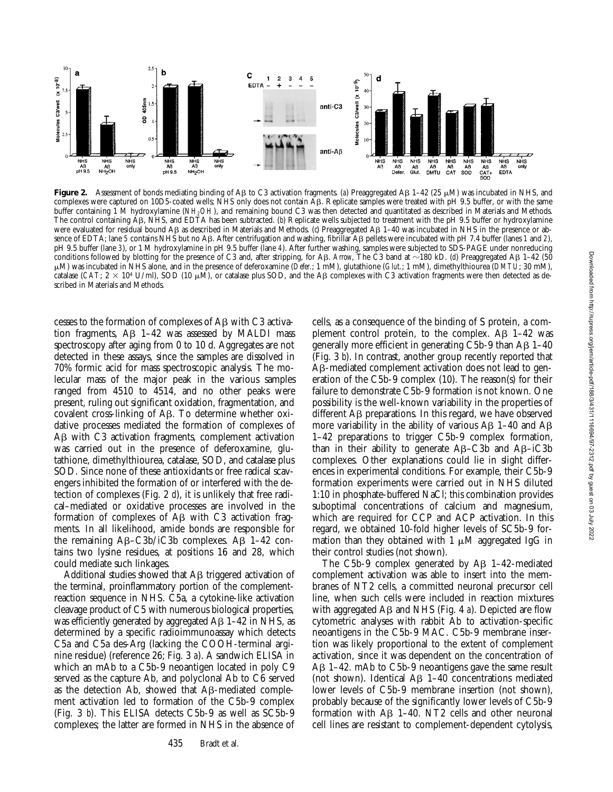

**Figure 2.** Assessment of bonds mediating binding of A $\beta$  to C3 activation fragments. (a) Preaggregated A $\beta$  1–42 (25  $\mu$ M) was incubated in NHS, and complexes were captured on 10D5-coated wells; NHS only does not contain AB. Replicate samples were treated with pH 9.5 buffer, or with the same buffer containing 1 M hydroxylamine (*NH<sub>2</sub>OH*), and remaining bound C3 was then detected and quantitated as described in Materials and Methods. The control containing A<sub>B</sub>, NHS, and EDTA has been subtracted. (*b*) Replicate wells subjected to treatment with the pH 9.5 buffer or hydroxylamine were evaluated for residual bound AB as described in Materials and Methods. (*c*) Preaggregated AB 1-40 was incubated in NHS in the presence or absence of EDTA; lane 5 contains NHS but no AB. After centrifugation and washing, fibrillar AB pellets were incubated with pH 7.4 buffer (lanes 1 and 2), pH 9.5 buffer (lane *3*), or 1 M hydroxylamine in pH 9.5 buffer (lane *4*). After further washing, samples were subjected to SDS-PAGE under nonreducing conditions followed by blotting for the presence of C3 and, after stripping, for AB. *Arrow*, The C3 band at  $\sim$  180 kD. (*d*) Preaggregated AB 1–42 (50 mM) was incubated in NHS alone, and in the presence of deferoxamine (*Defer.*; 1 mM), glutathione (*Glut.*; 1 mM), dimethylthiourea (*DMTU*; 30 mM), catalase (*CAT*;  $2 \times 10^4$  U/ml), SOD (10  $\mu$ M), or catalase plus SOD, and the AB complexes with C3 activation fragments were then detected as described in Materials and Methods.

cesses to the formation of complexes of AB with C3 activation fragments,  $\overrightarrow{AB}$  1–42 was assessed by MALDI mass spectroscopy after aging from 0 to 10 d. Aggregates are not detected in these assays, since the samples are dissolved in 70% formic acid for mass spectroscopic analysis. The molecular mass of the major peak in the various samples ranged from 4510 to 4514, and no other peaks were present, ruling out significant oxidation, fragmentation, and covalent cross-linking of Ab. To determine whether oxidative processes mediated the formation of complexes of A<sub>B</sub> with C<sub>3</sub> activation fragments, complement activation was carried out in the presence of deferoxamine, glutathione, dimethylthiourea, catalase, SOD, and catalase plus SOD. Since none of these antioxidants or free radical scavengers inhibited the formation of or interfered with the detection of complexes (Fig. 2 *d*), it is unlikely that free radical–mediated or oxidative processes are involved in the formation of complexes of  $\overrightarrow{AB}$  with C3 activation fragments. In all likelihood, amide bonds are responsible for the remaining  $\text{AB}-\text{C3b}/\text{iC3b}$  complexes. A $\text{B}$  1–42 contains two lysine residues, at positions 16 and 28, which could mediate such linkages.

Additional studies showed that A<sub>B</sub> triggered activation of the terminal, proinflammatory portion of the complementreaction sequence in NHS. C5a, a cytokine-like activation cleavage product of C5 with numerous biological properties, was efficiently generated by aggregated  $AB$  1–42 in NHS, as determined by a specific radioimmunoassay which detects C5a and C5a des-Arg (lacking the COOH-terminal arginine residue) (reference 26; Fig. 3 *a*). A sandwich ELISA in which an mAb to a C5b-9 neoantigen located in poly C9 served as the capture Ab, and polyclonal Ab to C6 served as the detection Ab, showed that  $\mathsf{A}\mathsf{B}\text{-mediated comple-}$ ment activation led to formation of the C5b-9 complex (Fig. 3 *b*). This ELISA detects C5b-9 as well as SC5b-9 complexes; the latter are formed in NHS in the absence of

cells, as a consequence of the binding of S protein, a complement control protein, to the complex.  $\mathbf{A}\mathbf{B}$  1–42 was generally more efficient in generating C5b-9 than  $AB$  1-40 (Fig. 3 *b*). In contrast, another group recently reported that A<sub>B</sub>-mediated complement activation does not lead to generation of the C5b-9 complex (10). The reason(s) for their failure to demonstrate C5b-9 formation is not known. One possibility is the well-known variability in the properties of different A<sub>B</sub> preparations. In this regard, we have observed more variability in the ability of various  $AB$  1–40 and  $AB$ 1–42 preparations to trigger C5b-9 complex formation, than in their ability to generate  $AB- C3b$  and  $AB-iC3b$ complexes. Other explanations could lie in slight differences in experimental conditions. For example, their C5b-9 formation experiments were carried out in NHS diluted 1:10 in phosphate-buffered NaCl; this combination provides suboptimal concentrations of calcium and magnesium, which are required for CCP and ACP activation. In this regard, we obtained 10-fold higher levels of SC5b-9 formation than they obtained with 1  $\mu$ M aggregated IgG in their control studies (not shown).

The  $C5b-9$  complex generated by  $\overline{AB}$  1–42-mediated complement activation was able to insert into the membranes of NT2 cells, a committed neuronal precursor cell line, when such cells were included in reaction mixtures with aggregated Aβ and NHS (Fig. 4 *a*). Depicted are flow cytometric analyses with rabbit Ab to activation-specific neoantigens in the C5b-9 MAC. C5b-9 membrane insertion was likely proportional to the extent of complement activation, since it was dependent on the concentration of Ab 1–42. mAb to C5b-9 neoantigens gave the same result (not shown). Identical  $\overline{AB}$  1–40 concentrations mediated lower levels of C5b-9 membrane insertion (not shown), probably because of the significantly lower levels of C5b-9 formation with  $\overline{AB}$  1–40. NT2 cells and other neuronal cell lines are resistant to complement-dependent cytolysis,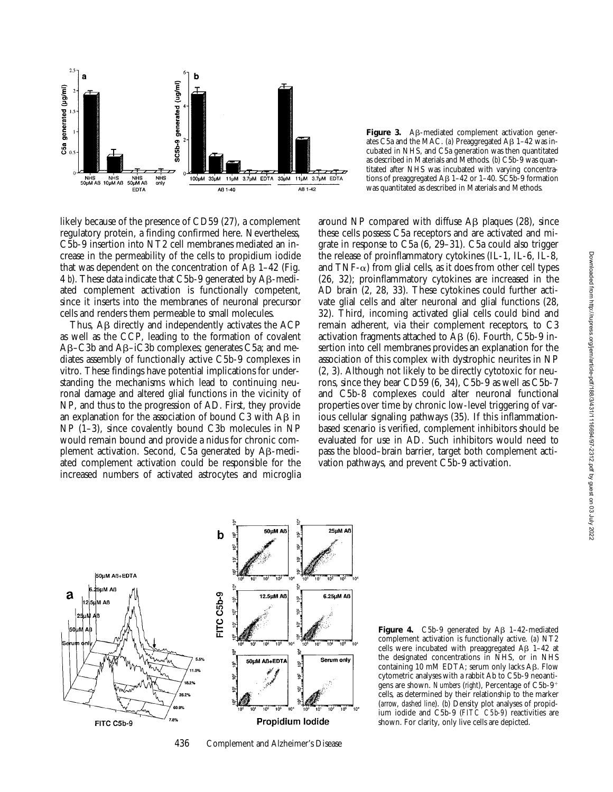

Figure 3. A<sub>B</sub>-mediated complement activation generates C5a and the MAC. (a) Preaggregated Aβ 1-42 was incubated in NHS, and C5a generation was then quantitated as described in Materials and Methods. (*b*) C5b-9 was quantitated after NHS was incubated with varying concentrations of preaggregated  $\overline{AB}$  1–42 or 1–40. SC5b-9 formation was quantitated as described in Materials and Methods.

likely because of the presence of CD59 (27), a complement regulatory protein, a finding confirmed here. Nevertheless, C5b-9 insertion into NT2 cell membranes mediated an increase in the permeability of the cells to propidium iodide that was dependent on the concentration of  $\overline{AB}$  1–42 (Fig. 4 *b*). These data indicate that C5b-9 generated by  $\mathsf{A}\mathsf{B}\text{-}\mathsf{medi}\text{-}$ ated complement activation is functionally competent, since it inserts into the membranes of neuronal precursor cells and renders them permeable to small molecules.

Thus,  $\overline{AB}$  directly and independently activates the ACP as well as the CCP, leading to the formation of covalent Ab–C3b and Ab–iC3b complexes; generates C5a; and mediates assembly of functionally active C5b-9 complexes in vitro. These findings have potential implications for understanding the mechanisms which lead to continuing neuronal damage and altered glial functions in the vicinity of NP, and thus to the progression of AD. First, they provide an explanation for the association of bound  $C3$  with  $AB$  in NP  $(1-3)$ , since covalently bound C3b molecules in NP would remain bound and provide a nidus for chronic complement activation. Second, C5a generated by AB-mediated complement activation could be responsible for the increased numbers of activated astrocytes and microglia

around NP compared with diffuse  $\overline{AB}$  plaques (28), since these cells possess C5a receptors and are activated and migrate in response to C5a (6, 29–31). C5a could also trigger the release of proinflammatory cytokines (IL-1, IL-6, IL-8, and  $TNF-\alpha$ ) from glial cells, as it does from other cell types (26, 32); proinflammatory cytokines are increased in the AD brain (2, 28, 33). These cytokines could further activate glial cells and alter neuronal and glial functions (28, 32). Third, incoming activated glial cells could bind and remain adherent, via their complement receptors, to C3 activation fragments attached to  $\overline{AB}$  (6). Fourth, C5b-9 insertion into cell membranes provides an explanation for the association of this complex with dystrophic neurites in NP (2, 3). Although not likely to be directly cytotoxic for neurons, since they bear CD59 (6, 34), C5b-9 as well as C5b-7 and C5b-8 complexes could alter neuronal functional properties over time by chronic low-level triggering of various cellular signaling pathways (35). If this inflammationbased scenario is verified, complement inhibitors should be evaluated for use in AD. Such inhibitors would need to pass the blood–brain barrier, target both complement activation pathways, and prevent C5b-9 activation.



436 Complement and Alzheimer's Disease

**Figure 4.** C5b-9 generated by  $\mathbf{A}\mathbf{\beta}$  1-42-mediated complement activation is functionally active. (*a*) NT2 cells were incubated with preaggregated  $\text{A}\beta$  1–42 at the designated concentrations in NHS, or in NHS containing 10 mM EDTA; serum only lacks  $\text{A}\beta$ . Flow cytometric analyses with a rabbit Ab to C5b-9 neoantigens are shown. *Numbers* (*right*), Percentage of C5b-9<sup>+</sup> cells, as determined by their relationship to the marker (*arrow*, *dashed line*). (*b*) Density plot analyses of propidium iodide and C5b-9 (*FITC C5b-9*) reactivities are shown. For clarity, only live cells are depicted.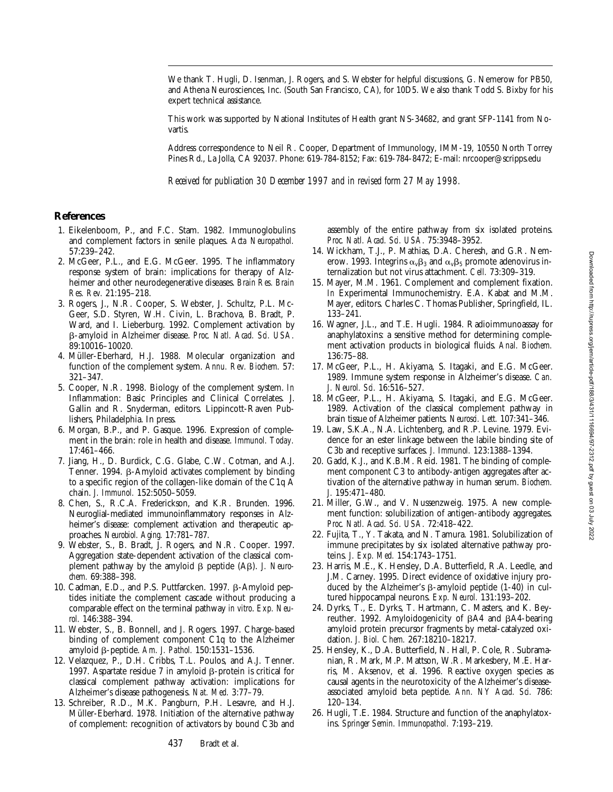We thank T. Hugli, D. Isenman, J. Rogers, and S. Webster for helpful discussions, G. Nemerow for PB50, and Athena Neurosciences, Inc. (South San Francisco, CA), for 10D5. We also thank Todd S. Bixby for his expert technical assistance.

This work was supported by National Institutes of Health grant NS-34682, and grant SFP-1141 from Novartis.

Address correspondence to Neil R. Cooper, Department of Immunology, IMM-19, 10550 North Torrey Pines Rd., La Jolla, CA 92037. Phone: 619-784-8152; Fax: 619-784-8472; E-mail: nrcooper@scripps.edu

*Received for publication 30 December 1997 and in revised form 27 May 1998.*

## **References**

- 1. Eikelenboom, P., and F.C. Stam. 1982. Immunoglobulins and complement factors in senile plaques. *Acta Neuropathol.* 57:239–242.
- 2. McGeer, P.L., and E.G. McGeer. 1995. The inflammatory response system of brain: implications for therapy of Alzheimer and other neurodegenerative diseases. *Brain Res. Brain Res. Rev.* 21:195–218.
- 3. Rogers, J., N.R. Cooper, S. Webster, J. Schultz, P.L. Mc-Geer, S.D. Styren, W.H. Civin, L. Brachova, B. Bradt, P. Ward, and I. Lieberburg. 1992. Complement activation by b-amyloid in Alzheimer disease. *Proc. Natl. Acad. Sci. USA.* 89:10016–10020.
- 4. Müller-Eberhard, H.J. 1988. Molecular organization and function of the complement system. *Annu. Rev. Biochem.* 57: 321–347.
- 5. Cooper, N.R. 1998. Biology of the complement system. *In* Inflammation: Basic Principles and Clinical Correlates. J. Gallin and R. Snyderman, editors. Lippincott-Raven Publishers, Philadelphia. In press.
- 6. Morgan, B.P., and P. Gasque. 1996. Expression of complement in the brain: role in health and disease. *Immunol. Today.* 17:461–466.
- 7. Jiang, H., D. Burdick, C.G. Glabe, C.W. Cotman, and A.J. Tenner. 1994. B-Amyloid activates complement by binding to a specific region of the collagen-like domain of the C1q A chain. *J. Immunol.* 152:5050–5059.
- 8. Chen, S., R.C.A. Frederickson, and K.R. Brunden. 1996. Neuroglial-mediated immunoinflammatory responses in Alzheimer's disease: complement activation and therapeutic approaches. *Neurobiol. Aging.* 17:781–787.
- 9. Webster, S., B. Bradt, J. Rogers, and N.R. Cooper. 1997. Aggregation state-dependent activation of the classical complement pathway by the amyloid β peptide (Aβ). *J. Neurochem.* 69:388–398.
- 10. Cadman, E.D., and P.S. Puttfarcken. 1997. β-Amyloid peptides initiate the complement cascade without producing a comparable effect on the terminal pathway *in vitro*. *Exp. Neurol.* 146:388–394.
- 11. Webster, S., B. Bonnell, and J. Rogers. 1997. Charge-based binding of complement component C1q to the Alzheimer amyloid b-peptide. *Am. J. Pathol.* 150:1531–1536.
- 12. Velazquez, P., D.H. Cribbs, T.L. Poulos, and A.J. Tenner. 1997. Aspartate residue 7 in amyloid  $\beta$ -protein is critical for classical complement pathway activation: implications for Alzheimer's disease pathogenesis. *Nat. Med.* 3:77–79.
- 13. Schreiber, R.D., M.K. Pangburn, P.H. Lesavre, and H.J. Müller-Eberhard. 1978. Initiation of the alternative pathway of complement: recognition of activators by bound C3b and

assembly of the entire pathway from six isolated proteins. *Proc. Natl. Acad. Sci. USA.* 75:3948–3952.

- 14. Wickham, T.J., P. Mathias, D.A. Cheresh, and G.R. Nemerow. 1993. Integrins  $\alpha_{\nu}\beta_3$  and  $\alpha_{\nu}\beta_5$  promote adenovirus internalization but not virus attachment. *Cell.* 73:309–319.
- 15. Mayer, M.M. 1961. Complement and complement fixation. *In* Experimental Immunochemistry. E.A. Kabat and M.M. Mayer, editors. Charles C. Thomas Publisher, Springfield, IL. 133–241.
- 16. Wagner, J.L., and T.E. Hugli. 1984. Radioimmunoassay for anaphylatoxins: a sensitive method for determining complement activation products in biological fluids. *Anal. Biochem.* 136:75–88.
- 17. McGeer, P.L., H. Akiyama, S. Itagaki, and E.G. McGeer. 1989. Immune system response in Alzheimer's disease. *Can. J. Neurol. Sci.* 16:516–527.
- 18. McGeer, P.L., H. Akiyama, S. Itagaki, and E.G. McGeer. 1989. Activation of the classical complement pathway in brain tissue of Alzheimer patients. *Neurosci. Lett.* 107:341–346.
- 19. Law, S.K.A., N.A. Lichtenberg, and R.P. Levine. 1979. Evidence for an ester linkage between the labile binding site of C3b and receptive surfaces. *J. Immunol.* 123:1388–1394.
- 20. Gadd, K.J., and K.B.M. Reid. 1981. The binding of complement component C3 to antibody-antigen aggregates after activation of the alternative pathway in human serum. *Biochem. J.* 195:471–480.
- 21. Miller, G.W., and V. Nussenzweig. 1975. A new complement function: solubilization of antigen-antibody aggregates. *Proc. Natl. Acad. Sci. USA.* 72:418–422.
- 22. Fujita, T., Y. Takata, and N. Tamura. 1981. Solubilization of immune precipitates by six isolated alternative pathway proteins. *J. Exp. Med.* 154:1743–1751.
- 23. Harris, M.E., K. Hensley, D.A. Butterfield, R.A. Leedle, and J.M. Carney. 1995. Direct evidence of oxidative injury produced by the Alzheimer's  $\beta$ -amyloid peptide (1-40) in cultured hippocampal neurons. *Exp. Neurol.* 131:193–202.
- 24. Dyrks, T., E. Dyrks, T. Hartmann, C. Masters, and K. Beyreuther. 1992. Amyloidogenicity of βA4 and βA4-bearing amyloid protein precursor fragments by metal-catalyzed oxidation. *J. Biol. Chem.* 267:18210–18217.
- 25. Hensley, K., D.A. Butterfield, N. Hall, P. Cole, R. Subramanian, R. Mark, M.P. Mattson, W.R. Markesbery, M.E. Harris, M. Aksenov, et al. 1996. Reactive oxygen species as causal agents in the neurotoxicity of the Alzheimer's diseaseassociated amyloid beta peptide. *Ann. NY Acad. Sci.* 786: 120–134.
- 26. Hugli, T.E. 1984. Structure and function of the anaphylatoxins. *Springer Semin. Immunopathol.* 7:193–219.